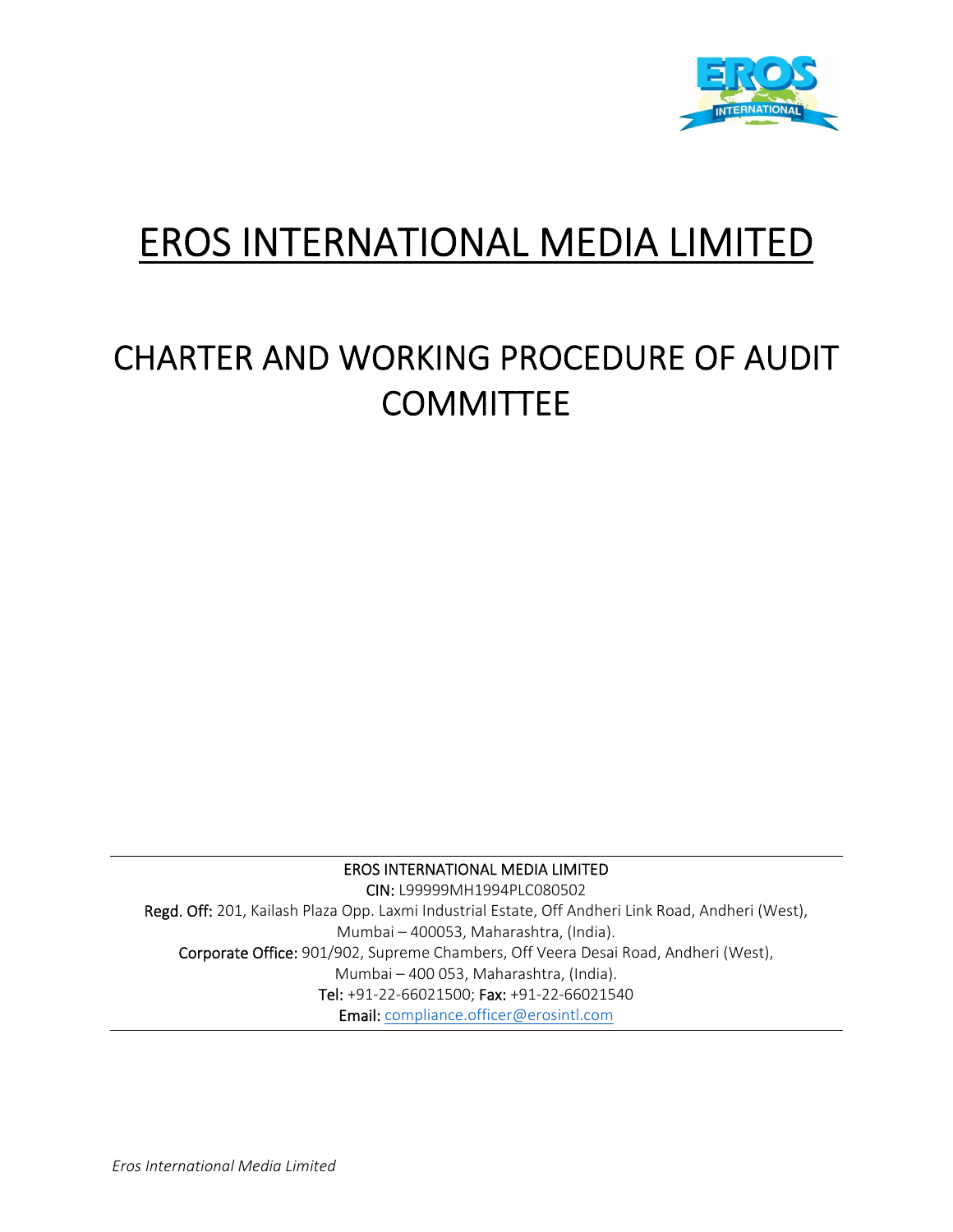

# EROS INTERNATIONAL MEDIA LIMITED

## CHARTER AND WORKING PROCEDURE OF AUDIT **COMMITTEE**

EROS INTERNATIONAL MEDIA LIMITED

CIN: L99999MH1994PLC080502 Regd. Off: 201, Kailash Plaza Opp. Laxmi Industrial Estate, Off Andheri Link Road, Andheri (West), Mumbai – 400053, Maharashtra, (India). Corporate Office: 901/902, Supreme Chambers, Off Veera Desai Road, Andheri (West), Mumbai – 400 053, Maharashtra, (India). Tel: +91‐22‐66021500; Fax: +91‐22‐66021540 Email: compliance.officer@erosintl.com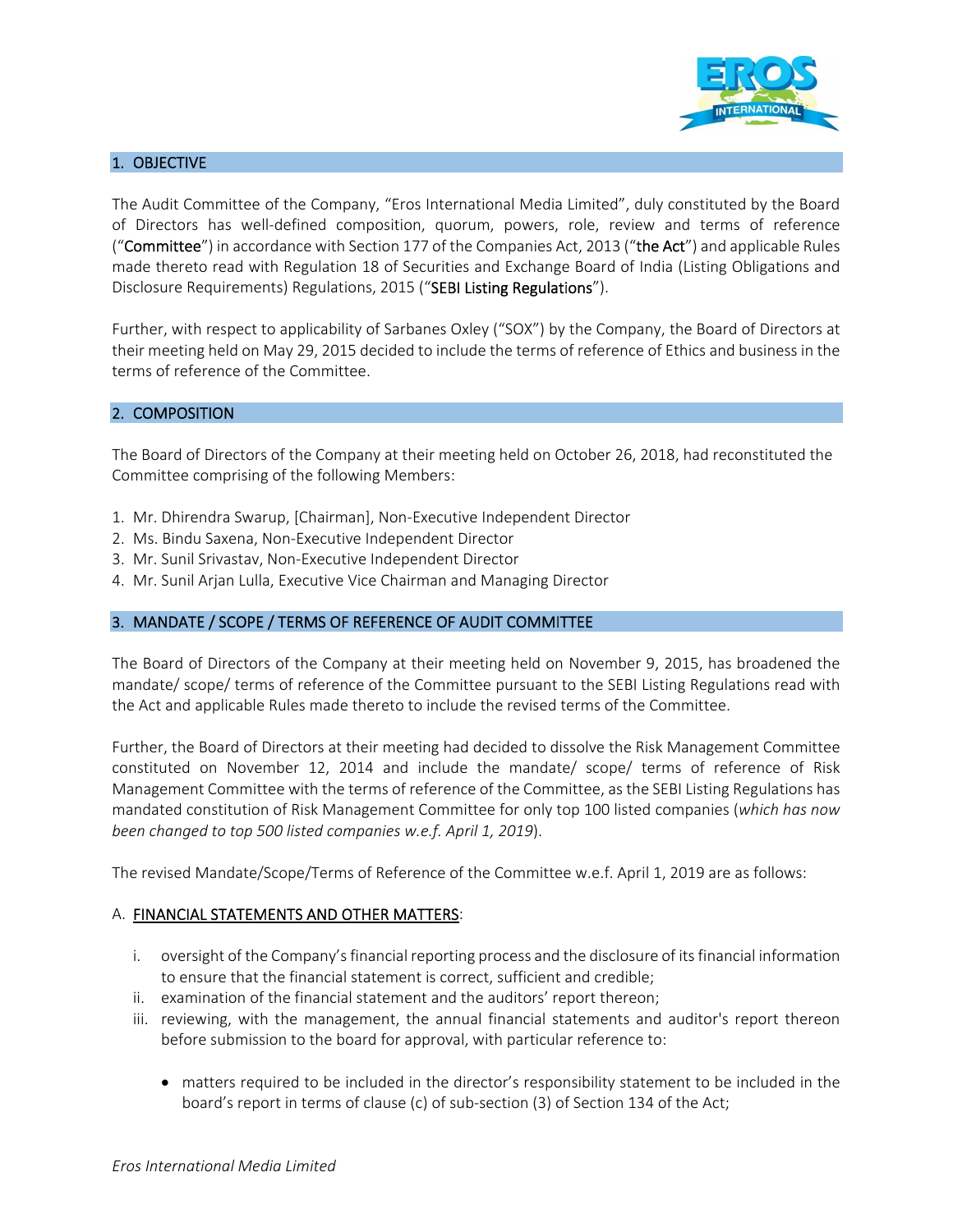

## 1. OBJECTIVE

The Audit Committee of the Company, "Eros International Media Limited", duly constituted by the Board of Directors has well‐defined composition, quorum, powers, role, review and terms of reference ("Committee") in accordance with Section 177 of the Companies Act, 2013 ("the Act") and applicable Rules made thereto read with Regulation 18 of Securities and Exchange Board of India (Listing Obligations and Disclosure Requirements) Regulations, 2015 ("SEBI Listing Regulations").

Further, with respect to applicability of Sarbanes Oxley ("SOX") by the Company, the Board of Directors at their meeting held on May 29, 2015 decided to include the terms of reference of Ethics and business in the terms of reference of the Committee.

#### 2. COMPOSITION

The Board of Directors of the Company at their meeting held on October 26, 2018, had reconstituted the Committee comprising of the following Members:

- 1. Mr. Dhirendra Swarup, [Chairman], Non‐Executive Independent Director
- 2. Ms. Bindu Saxena, Non‐Executive Independent Director
- 3. Mr. Sunil Srivastav, Non‐Executive Independent Director
- 4. Mr. Sunil Arjan Lulla, Executive Vice Chairman and Managing Director

#### 3. MANDATE / SCOPE / TERMS OF REFERENCE OF AUDIT COMMITTEE

The Board of Directors of the Company at their meeting held on November 9, 2015, has broadened the mandate/ scope/ terms of reference of the Committee pursuant to the SEBI Listing Regulations read with the Act and applicable Rules made thereto to include the revised terms of the Committee.

Further, the Board of Directors at their meeting had decided to dissolve the Risk Management Committee constituted on November 12, 2014 and include the mandate/ scope/ terms of reference of Risk Management Committee with the terms of reference of the Committee, as the SEBI Listing Regulations has mandated constitution of Risk Management Committee for only top 100 listed companies (*which has now been changed to top 500 listed companies w.e.f. April 1, 2019*).

The revised Mandate/Scope/Terms of Reference of the Committee w.e.f. April 1, 2019 are as follows:

#### A. FINANCIAL STATEMENTS AND OTHER MATTERS:

- i. oversight of the Company'sfinancial reporting process and the disclosure of itsfinancial information to ensure that the financial statement is correct, sufficient and credible;
- ii. examination of the financial statement and the auditors' report thereon;
- iii. reviewing, with the management, the annual financial statements and auditor's report thereon before submission to the board for approval, with particular reference to:
	- matters required to be included in the director's responsibility statement to be included in the board's report in terms of clause (c) of sub‐section (3) of Section 134 of the Act;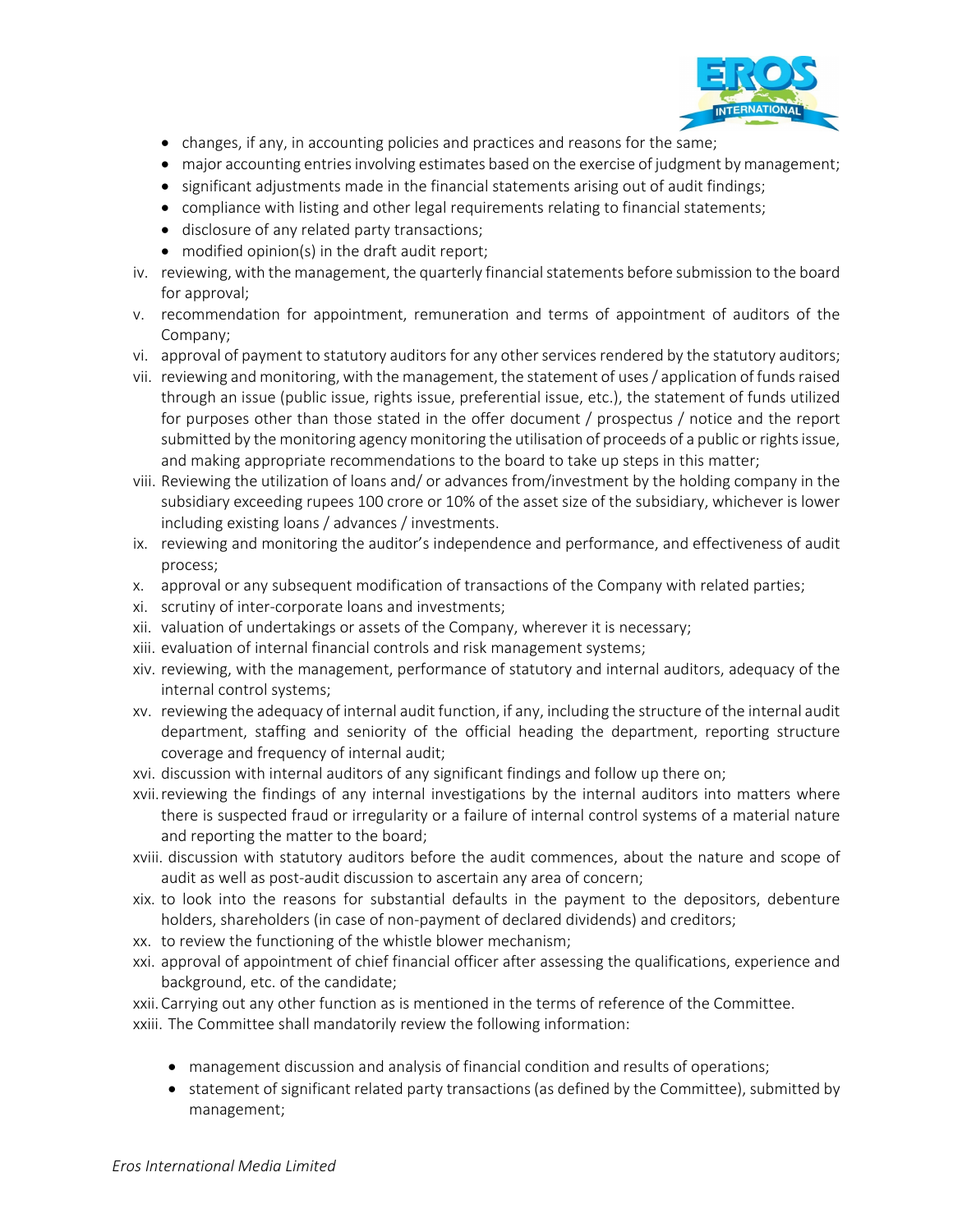

- changes, if any, in accounting policies and practices and reasons for the same;
- major accounting entries involving estimates based on the exercise of judgment by management;
- significant adjustments made in the financial statements arising out of audit findings;
- compliance with listing and other legal requirements relating to financial statements;
- disclosure of any related party transactions;
- modified opinion(s) in the draft audit report;
- iv. reviewing, with the management, the quarterly financial statements before submission to the board for approval;
- v. recommendation for appointment, remuneration and terms of appointment of auditors of the Company;
- vi. approval of payment to statutory auditors for any other services rendered by the statutory auditors;
- vii. reviewing and monitoring, with the management, the statement of uses/ application of fundsraised through an issue (public issue, rights issue, preferential issue, etc.), the statement of funds utilized for purposes other than those stated in the offer document / prospectus / notice and the report submitted by the monitoring agency monitoring the utilisation of proceeds of a public or rights issue, and making appropriate recommendations to the board to take up steps in this matter;
- viii. Reviewing the utilization of loans and/ or advances from/investment by the holding company in the subsidiary exceeding rupees 100 crore or 10% of the asset size of the subsidiary, whichever is lower including existing loans / advances / investments.
- ix. reviewing and monitoring the auditor's independence and performance, and effectiveness of audit process;
- x. approval or any subsequent modification of transactions of the Company with related parties;
- xi. scrutiny of inter‐corporate loans and investments;
- xii. valuation of undertakings or assets of the Company, wherever it is necessary;
- xiii. evaluation of internal financial controls and risk management systems;
- xiv. reviewing, with the management, performance of statutory and internal auditors, adequacy of the internal control systems;
- xv. reviewing the adequacy of internal audit function, if any, including the structure of the internal audit department, staffing and seniority of the official heading the department, reporting structure coverage and frequency of internal audit;
- xvi. discussion with internal auditors of any significant findings and follow up there on;
- xvii.reviewing the findings of any internal investigations by the internal auditors into matters where there is suspected fraud or irregularity or a failure of internal control systems of a material nature and reporting the matter to the board;
- xviii. discussion with statutory auditors before the audit commences, about the nature and scope of audit as well as post‐audit discussion to ascertain any area of concern;
- xix. to look into the reasons for substantial defaults in the payment to the depositors, debenture holders, shareholders (in case of non-payment of declared dividends) and creditors;
- xx. to review the functioning of the whistle blower mechanism;
- xxi. approval of appointment of chief financial officer after assessing the qualifications, experience and background, etc. of the candidate;

xxii.Carrying out any other function as is mentioned in the terms of reference of the Committee. xxiii. The Committee shall mandatorily review the following information:

- management discussion and analysis of financial condition and results of operations;
- statement of significant related party transactions (as defined by the Committee), submitted by management;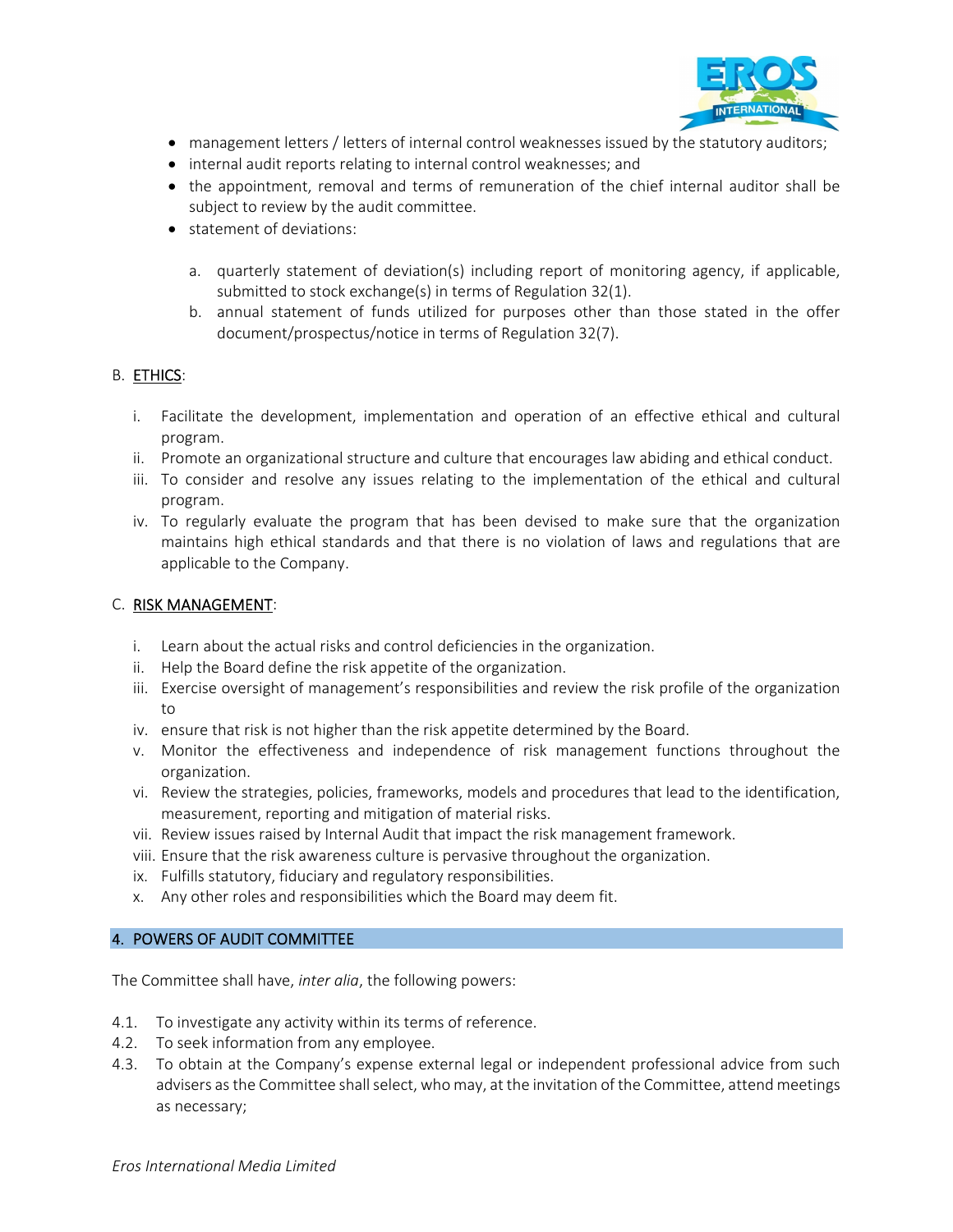

- management letters / letters of internal control weaknesses issued by the statutory auditors;
- internal audit reports relating to internal control weaknesses; and
- the appointment, removal and terms of remuneration of the chief internal auditor shall be subject to review by the audit committee.
- statement of deviations:
	- a. quarterly statement of deviation(s) including report of monitoring agency, if applicable, submitted to stock exchange(s) in terms of Regulation 32(1).
	- b. annual statement of funds utilized for purposes other than those stated in the offer document/prospectus/notice in terms of Regulation 32(7).

## B. ETHICS:

- i. Facilitate the development, implementation and operation of an effective ethical and cultural program.
- ii. Promote an organizational structure and culture that encourages law abiding and ethical conduct.
- iii. To consider and resolve any issues relating to the implementation of the ethical and cultural program.
- iv. To regularly evaluate the program that has been devised to make sure that the organization maintains high ethical standards and that there is no violation of laws and regulations that are applicable to the Company.

## C. RISK MANAGEMENT:

- i. Learn about the actual risks and control deficiencies in the organization.
- ii. Help the Board define the risk appetite of the organization.
- iii. Exercise oversight of management's responsibilities and review the risk profile of the organization to
- iv. ensure that risk is not higher than the risk appetite determined by the Board.
- v. Monitor the effectiveness and independence of risk management functions throughout the organization.
- vi. Review the strategies, policies, frameworks, models and procedures that lead to the identification, measurement, reporting and mitigation of material risks.
- vii. Review issues raised by Internal Audit that impact the risk management framework.
- viii. Ensure that the risk awareness culture is pervasive throughout the organization.
- ix. Fulfills statutory, fiduciary and regulatory responsibilities.
- x. Any other roles and responsibilities which the Board may deem fit.

#### 4. POWERS OF AUDIT COMMITTEE

The Committee shall have, *inter alia*, the following powers:

- 4.1. To investigate any activity within its terms of reference.
- 4.2. To seek information from any employee.
- 4.3. To obtain at the Company's expense external legal or independent professional advice from such advisers as the Committee shall select, who may, at the invitation of the Committee, attend meetings as necessary;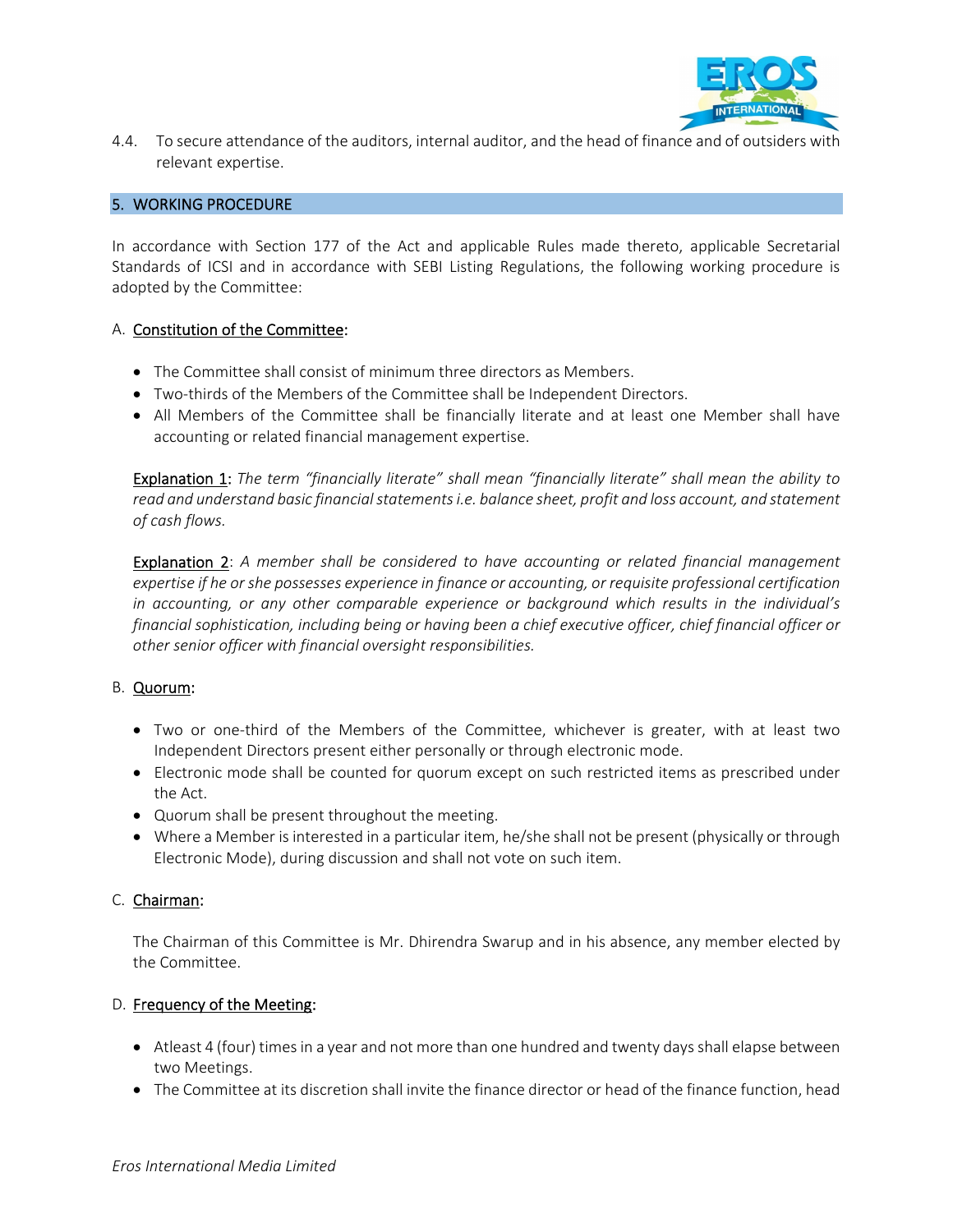

4.4. To secure attendance of the auditors, internal auditor, and the head of finance and of outsiders with relevant expertise.

#### 5. WORKING PROCEDURE

In accordance with Section 177 of the Act and applicable Rules made thereto, applicable Secretarial Standards of ICSI and in accordance with SEBI Listing Regulations, the following working procedure is adopted by the Committee:

## A. Constitution of the Committee:

- The Committee shall consist of minimum three directors as Members.
- Two-thirds of the Members of the Committee shall be Independent Directors.
- All Members of the Committee shall be financially literate and at least one Member shall have accounting or related financial management expertise.

Explanation 1: *The term "financially literate" shall mean "financially literate" shall mean the ability to read and understand basic financialstatementsi.e. balance sheet, profit and loss account, and statement of cash flows.*

Explanation 2: *A member shall be considered to have accounting or related financial management expertise if he orshe possesses experience in finance or accounting, or requisite professional certification in accounting, or any other comparable experience or background which results in the individual's financial sophistication, including being or having been a chief executive officer, chief financial officer or other senior officer with financial oversight responsibilities.* 

#### B. Quorum:

- Two or one-third of the Members of the Committee, whichever is greater, with at least two Independent Directors present either personally or through electronic mode.
- Electronic mode shall be counted for quorum except on such restricted items as prescribed under the Act.
- Quorum shall be present throughout the meeting.
- Where a Member is interested in a particular item, he/she shall not be present (physically or through Electronic Mode), during discussion and shall not vote on such item.

## C. Chairman:

The Chairman of this Committee is Mr. Dhirendra Swarup and in his absence, any member elected by the Committee.

## D. Frequency of the Meeting:

- Atleast 4 (four) times in a year and not more than one hundred and twenty days shall elapse between two Meetings.
- The Committee at its discretion shall invite the finance director or head of the finance function, head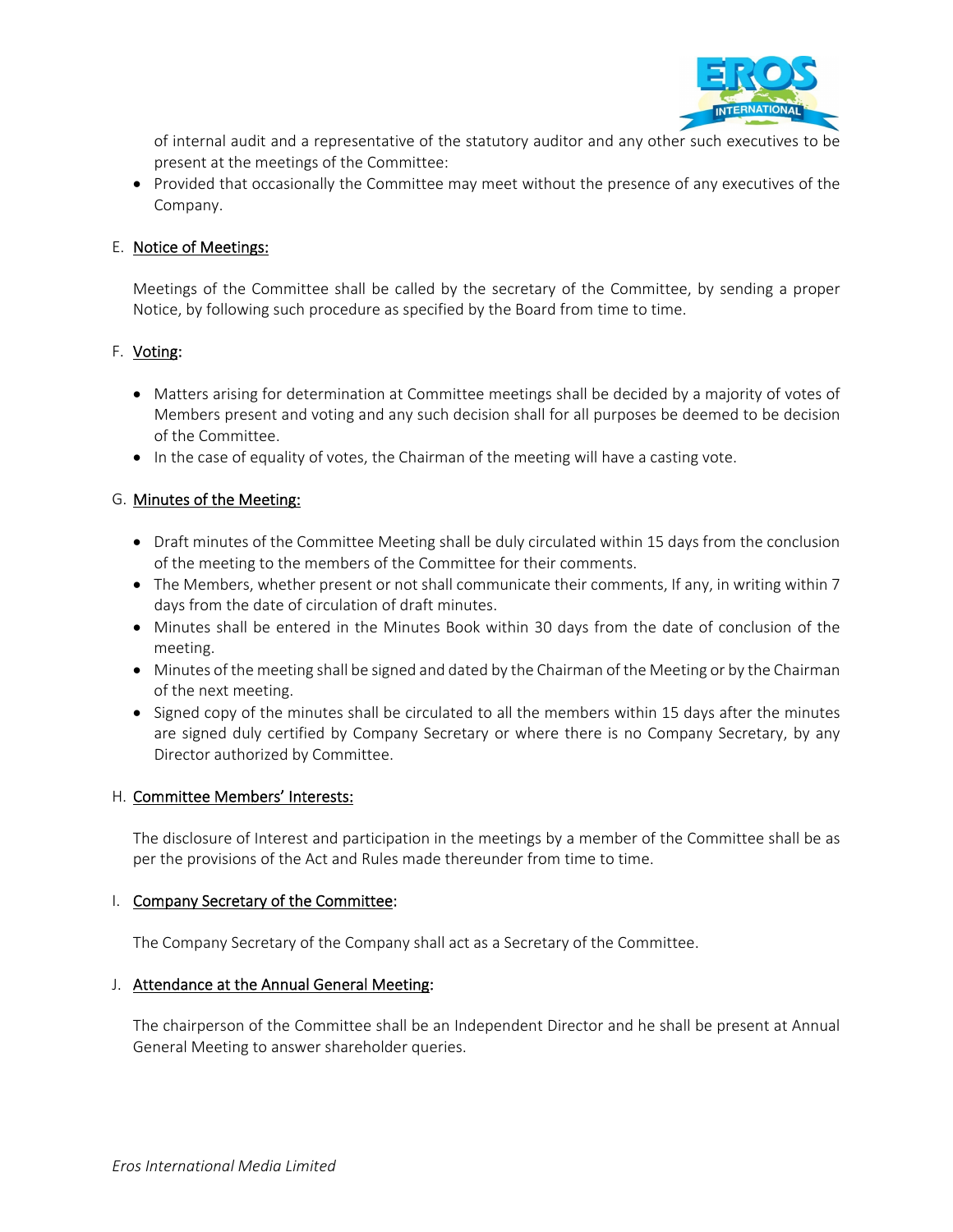

of internal audit and a representative of the statutory auditor and any other such executives to be present at the meetings of the Committee:

• Provided that occasionally the Committee may meet without the presence of any executives of the Company.

## E. Notice of Meetings:

Meetings of the Committee shall be called by the secretary of the Committee, by sending a proper Notice, by following such procedure as specified by the Board from time to time.

## F. Voting:

- Matters arising for determination at Committee meetings shall be decided by a majority of votes of Members present and voting and any such decision shall for all purposes be deemed to be decision of the Committee.
- In the case of equality of votes, the Chairman of the meeting will have a casting vote.

## G. Minutes of the Meeting:

- Draft minutes of the Committee Meeting shall be duly circulated within 15 days from the conclusion of the meeting to the members of the Committee for their comments.
- The Members, whether present or not shall communicate their comments, If any, in writing within 7 days from the date of circulation of draft minutes.
- Minutes shall be entered in the Minutes Book within 30 days from the date of conclusion of the meeting.
- Minutes of the meeting shall be signed and dated by the Chairman of the Meeting or by the Chairman of the next meeting.
- Signed copy of the minutes shall be circulated to all the members within 15 days after the minutes are signed duly certified by Company Secretary or where there is no Company Secretary, by any Director authorized by Committee.

#### H. Committee Members' Interests:

The disclosure of Interest and participation in the meetings by a member of the Committee shall be as per the provisions of the Act and Rules made thereunder from time to time.

#### I. Company Secretary of the Committee:

The Company Secretary of the Company shall act as a Secretary of the Committee.

#### J. Attendance at the Annual General Meeting:

The chairperson of the Committee shall be an Independent Director and he shall be present at Annual General Meeting to answer shareholder queries.